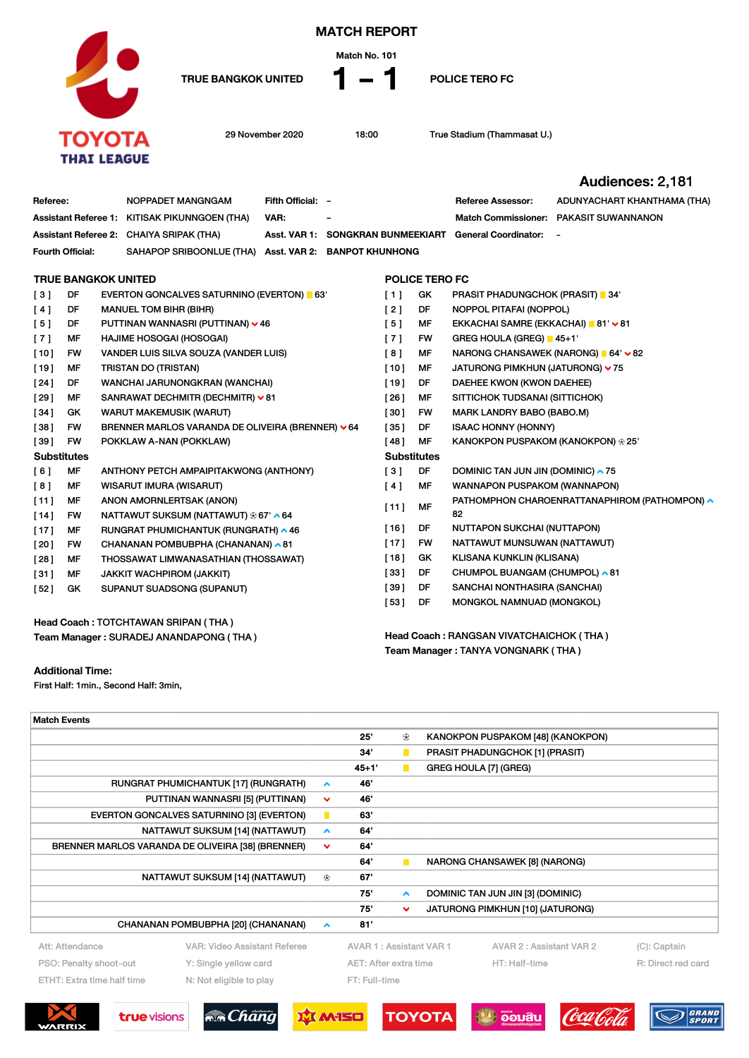

MATCH REPORT

Match No. 101

TRUE BANGKOK UNITED  $\parallel - \parallel$  POLICE TERO FC

29 November 2020 18:00 True Stadium (Thammasat U.)

Team Manager : TANYA VONGNARK ( THA )

|                                        |           |                                                   |                                                  |                   |                              |                                         |                       |                                               | Audiences: 2,181            |  |  |  |
|----------------------------------------|-----------|---------------------------------------------------|--------------------------------------------------|-------------------|------------------------------|-----------------------------------------|-----------------------|-----------------------------------------------|-----------------------------|--|--|--|
| Referee:                               |           |                                                   | NOPPADET MANGNGAM                                | Fifth Official: - |                              |                                         |                       | <b>Referee Assessor:</b>                      | ADUNYACHART KHANTHAMA (THA) |  |  |  |
|                                        |           |                                                   | Assistant Referee 1: KITISAK PIKUNNGOEN (THA)    | VAR:              |                              |                                         |                       | Match Commissioner:                           | <b>PAKASIT SUWANNANON</b>   |  |  |  |
| <b>Assistant Referee 2:</b>            |           |                                                   | <b>CHAIYA SRIPAK (THA)</b>                       | Asst. VAR 1:      | SONGKRAN BUNMEEKIART         |                                         |                       | <b>General Coordinator:</b>                   | $\sim$                      |  |  |  |
| Fourth Official:                       |           |                                                   | SAHAPOP SRIBOONLUE (THA)                         |                   | Asst. VAR 2: BANPOT KHUNHONG |                                         |                       |                                               |                             |  |  |  |
|                                        |           |                                                   |                                                  |                   |                              |                                         |                       |                                               |                             |  |  |  |
| <b>TRUE BANGKOK UNITED</b>             |           |                                                   |                                                  |                   |                              |                                         | <b>POLICE TERO FC</b> |                                               |                             |  |  |  |
| DF<br>[3]                              |           |                                                   | <b>EVERTON GONCALVES SATURNINO (EVERTON)</b> 63' |                   |                              | $[1]$                                   | GK                    | <b>PRASIT PHADUNGCHOK (PRASIT)</b> 34'        |                             |  |  |  |
| [4]                                    | DF        | <b>MANUEL TOM BIHR (BIHR)</b>                     |                                                  |                   |                              | [2]                                     | DF                    | NOPPOL PITAFAI (NOPPOL)                       |                             |  |  |  |
| [5]                                    | DF        | PUTTINAN WANNASRI (PUTTINAN) v 46                 |                                                  |                   |                              | $[5]$                                   | MF                    | EKKACHAI SAMRE (EKKACHAI) ■ 81' × 81          |                             |  |  |  |
| [7]                                    | МF        | HAJIME HOSOGAI (HOSOGAI)                          |                                                  |                   |                              | [7]                                     | FW                    | GREG HOULA (GREG) 45+1                        |                             |  |  |  |
| $[10]$                                 | <b>FW</b> |                                                   | VANDER LUIS SILVA SOUZA (VANDER LUIS)            |                   |                              | [8]                                     | MF                    | NARONG CHANSAWEK (NARONG) ■ 64' × 82          |                             |  |  |  |
| $[19]$                                 | MF        |                                                   | TRISTAN DO (TRISTAN)                             |                   |                              | $[10]$                                  | MF                    | JATURONG PIMKHUN (JATURONG) v 75              |                             |  |  |  |
| [24]                                   | DF        |                                                   | WANCHAI JARUNONGKRAN (WANCHAI)                   |                   |                              | $[19]$                                  | DF                    | DAEHEE KWON (KWON DAEHEE)                     |                             |  |  |  |
| [29]                                   | МF        |                                                   | SANRAWAT DECHMITR (DECHMITR) ∨81                 |                   |                              | [26]                                    | MF                    | SITTICHOK TUDSANAI (SITTICHOK)                |                             |  |  |  |
| [34]                                   | GK        | <b>WARUT MAKEMUSIK (WARUT)</b>                    |                                                  |                   |                              | [30]                                    | FW                    | MARK LANDRY BABO (BABO.M)                     |                             |  |  |  |
| [38]                                   | FW        | BRENNER MARLOS VARANDA DE OLIVEIRA (BRENNER) ~ 64 |                                                  |                   |                              | [35]                                    | DF                    | <b>ISAAC HONNY (HONNY)</b>                    |                             |  |  |  |
| [39]                                   | <b>FW</b> |                                                   | POKKLAW A-NAN (POKKLAW)                          |                   |                              | [48]                                    | MF                    | KANOKPON PUSPAKOM (KANOKPON) ⊕ 25'            |                             |  |  |  |
| <b>Substitutes</b>                     |           |                                                   |                                                  |                   |                              |                                         | <b>Substitutes</b>    |                                               |                             |  |  |  |
| [6]                                    | МF        |                                                   | ANTHONY PETCH AMPAIPITAKWONG (ANTHONY)           |                   |                              | $\lceil 3 \rceil$                       | DF                    | DOMINIC TAN JUN JIN (DOMINIC) $\sim$ 75       |                             |  |  |  |
| [8]                                    | MF        |                                                   | <b>WISARUT IMURA (WISARUT)</b>                   |                   |                              | [4]                                     | МF                    | <b>WANNAPON PUSPAKOM (WANNAPON)</b>           |                             |  |  |  |
| [11]                                   | МF        | ANON AMORNLERTSAK (ANON)                          |                                                  |                   |                              |                                         |                       | PATHOMPHON CHAROENRATTANAPHIROM (PATHOMPON) ^ |                             |  |  |  |
| $[14]$                                 | <b>FW</b> |                                                   | NATTAWUT SUKSUM (NATTAWUT) ® 67' ^ 64            |                   |                              | MF<br>[11]                              |                       | 82                                            |                             |  |  |  |
| $[17]$                                 | МF        |                                                   | RUNGRAT PHUMICHANTUK (RUNGRATH) ^ 46             |                   |                              | $[16]$                                  | DF                    | NUTTAPON SUKCHAI (NUTTAPON)                   |                             |  |  |  |
| [20]                                   | <b>FW</b> |                                                   | CHANANAN POMBUBPHA (CHANANAN) ~ 81               |                   |                              | $[17]$                                  | <b>FW</b>             | NATTAWUT MUNSUWAN (NATTAWUT)                  |                             |  |  |  |
| [28]                                   | МF        |                                                   | THOSSAWAT LIMWANASATHIAN (THOSSAWAT)             |                   |                              | $[18]$                                  | GK                    | KLISANA KUNKLIN (KLISANA)                     |                             |  |  |  |
| [31]                                   | МF        |                                                   | <b>JAKKIT WACHPIROM (JAKKIT)</b>                 |                   |                              | [33]                                    | DF                    | CHUMPOL BUANGAM (CHUMPOL) ∧81                 |                             |  |  |  |
| [52]                                   | GK        |                                                   | SUPANUT SUADSONG (SUPANUT)                       |                   |                              | [39]                                    | DF                    | SANCHAI NONTHASIRA (SANCHAI)                  |                             |  |  |  |
|                                        |           |                                                   |                                                  |                   |                              | [53]                                    | DF                    | MONGKOL NAMNUAD (MONGKOL)                     |                             |  |  |  |
| Head Coach: TOTCHTAWAN SRIPAN (THA)    |           |                                                   |                                                  |                   |                              |                                         |                       |                                               |                             |  |  |  |
| Team Manager: SURADEJ ANANDAPONG (THA) |           |                                                   |                                                  |                   |                              | Head Coach: RANGSAN VIVATCHAICHOK (THA) |                       |                                               |                             |  |  |  |

Additional Time:

First Half: 1min., Second Half: 3min,

| <b>Match Events</b>                                   |                                                   |                  |                         |                       |               |                                   |                              |
|-------------------------------------------------------|---------------------------------------------------|------------------|-------------------------|-----------------------|---------------|-----------------------------------|------------------------------|
|                                                       |                                                   |                  | 25'                     | ⊛                     |               | KANOKPON PUSPAKOM [48] (KANOKPON) |                              |
|                                                       |                                                   |                  | 34'                     | $\blacksquare$        |               | PRASIT PHADUNGCHOK [1] (PRASIT)   |                              |
|                                                       |                                                   |                  | $45 + 1'$               | $\blacksquare$        |               | GREG HOULA [7] (GREG)             |                              |
|                                                       | RUNGRAT PHUMICHANTUK [17] (RUNGRATH)              | $\blacktriangle$ | 46                      |                       |               |                                   |                              |
| PUTTINAN WANNASRI [5] (PUTTINAN)                      | $\checkmark$                                      | 46               |                         |                       |               |                                   |                              |
|                                                       | EVERTON GONCALVES SATURNINO [3] (EVERTON)         | п                | 63'                     |                       |               |                                   |                              |
|                                                       | NATTAWUT SUKSUM [14] (NATTAWUT)                   | $\blacktriangle$ | 64                      |                       |               |                                   |                              |
|                                                       | BRENNER MARLOS VARANDA DE OLIVEIRA [38] (BRENNER) | $\checkmark$     | 64'                     |                       |               |                                   |                              |
|                                                       |                                                   |                  | 64                      | $\blacksquare$        |               | NARONG CHANSAWEK [8] (NARONG)     |                              |
|                                                       | NATTAWUT SUKSUM [14] (NATTAWUT)                   | ⊛                | 67'                     |                       |               |                                   |                              |
|                                                       |                                                   |                  | 75'                     | $\hat{\phantom{a}}$   |               | DOMINIC TAN JUN JIN [3] (DOMINIC) |                              |
|                                                       |                                                   |                  | 75'                     | $\checkmark$          |               | JATURONG PIMKHUN [10] (JATURONG)  |                              |
|                                                       | CHANANAN POMBUBPHA [20] (CHANANAN)                | $\blacktriangle$ | 81'                     |                       |               |                                   |                              |
| Att: Attendance                                       | VAR: Video Assistant Referee                      |                  | AVAR 1: Assistant VAR 1 |                       |               | AVAR 2 : Assistant VAR 2          | (C): Captain                 |
| PSO: Penalty shoot-out                                | Y: Single yellow card                             |                  |                         | AET: After extra time |               | HT: Half-time                     | R: Direct red card           |
| ETHT: Extra time half time<br>N: Not eligible to play |                                                   |                  | FT: Full-time           |                       |               |                                   |                              |
|                                                       |                                                   |                  |                         |                       |               |                                   |                              |
| <b>true</b> visions<br>WARRIX                         | <b>MA</b> Chang                                   |                  | MISO                    |                       | <b>TOYOTA</b> | ออมสิน                            | <b>GRAND</b><br><b>SPORT</b> |